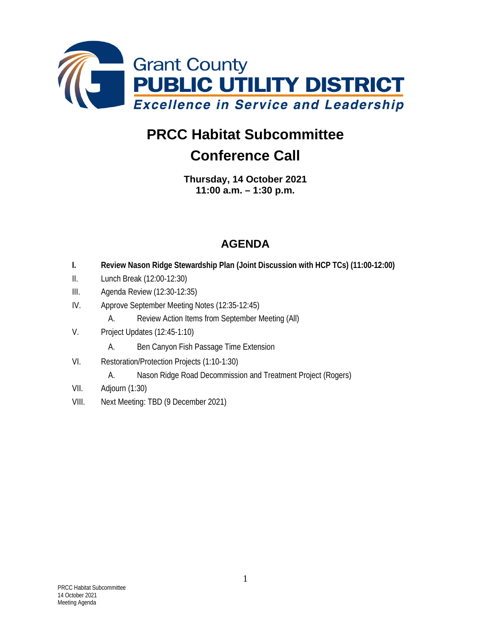

## **PRCC Habitat Subcommittee Conference Call**

**Thursday, 14 October 2021 11:00 a.m. – 1:30 p.m.**

## **AGENDA**

- **I. Review Nason Ridge Stewardship Plan (Joint Discussion with HCP TCs) (11:00-12:00)**
- II. Lunch Break (12:00-12:30)
- III. Agenda Review (12:30-12:35)
- IV. Approve September Meeting Notes (12:35-12:45)
	- A. Review Action Items from September Meeting (All)
- V. Project Updates (12:45-1:10)
	- A. Ben Canyon Fish Passage Time Extension
- VI. Restoration/Protection Projects (1:10-1:30)
	- A. Nason Ridge Road Decommission and Treatment Project (Rogers)
- VII. Adjourn (1:30)
- VIII. Next Meeting: TBD (9 December 2021)